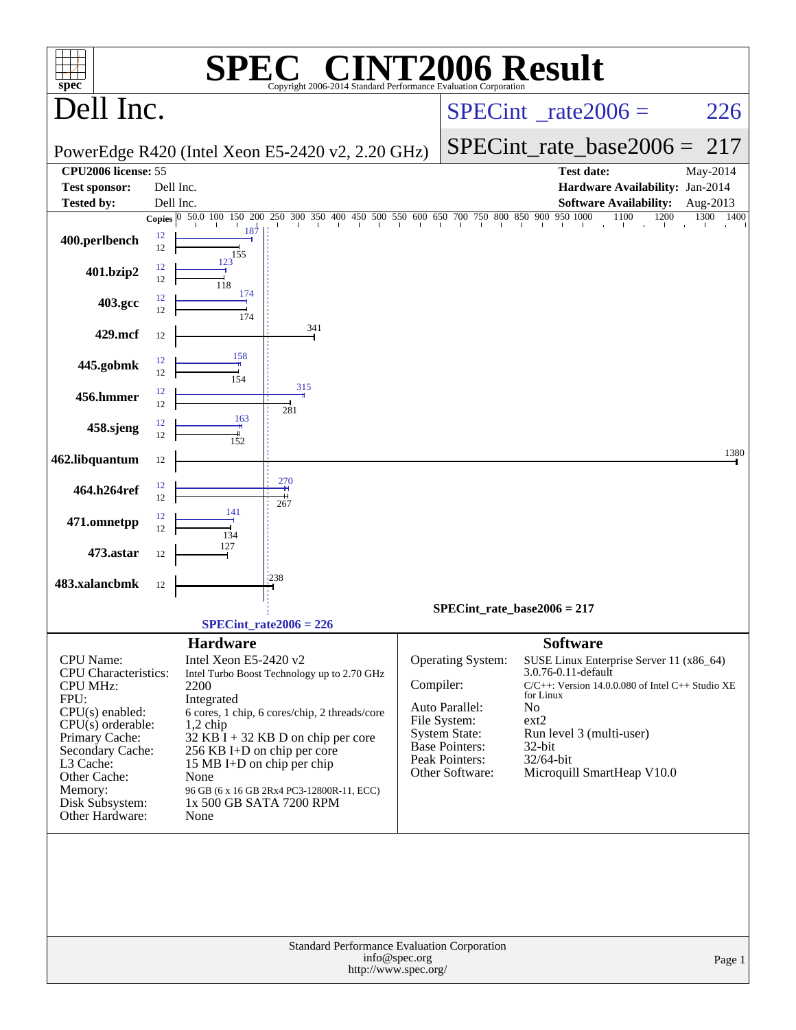| $spec^*$                                      |          |                                          | $\blacksquare$<br>М,                                                                                                                                                      |               | <b>NT2006 Result</b>                 |                     |                                                  |           |
|-----------------------------------------------|----------|------------------------------------------|---------------------------------------------------------------------------------------------------------------------------------------------------------------------------|---------------|--------------------------------------|---------------------|--------------------------------------------------|-----------|
| Dell Inc.                                     |          |                                          | Copyright 2006-2014 Standard Performance Evaluation Corporation                                                                                                           |               |                                      |                     | $SPECint^{\circ}$ <sub>_rate2006</sub> =         | 226       |
|                                               |          |                                          | PowerEdge R420 (Intel Xeon E5-2420 v2, 2.20 GHz)                                                                                                                          |               |                                      |                     | $SPECint_rate\_base2006 =$                       | 217       |
| CPU2006 license: 55                           |          |                                          |                                                                                                                                                                           |               |                                      |                     | <b>Test date:</b>                                | May-2014  |
| <b>Test sponsor:</b>                          |          | Dell Inc.                                |                                                                                                                                                                           |               |                                      |                     | Hardware Availability: Jan-2014                  |           |
| <b>Tested by:</b>                             |          | Dell Inc.                                |                                                                                                                                                                           |               |                                      |                     | <b>Software Availability:</b>                    | Aug-2013  |
|                                               |          |                                          | <b>Copies</b> $\begin{bmatrix} 0 & 50.0 & 100 & 150 & 200 & 250 & 300 & 350 & 400 & 450 & 500 & 550 & 600 & 650 & 700 & 750 & 800 & 850 & 900 & 950 & 1000 \end{bmatrix}$ |               |                                      |                     | $9501000$ $1100$<br>1200                         | 1300 1400 |
| 400.perlbench                                 | 12<br>12 | 187<br>155                               |                                                                                                                                                                           |               |                                      |                     |                                                  |           |
| 401.bzip2                                     | 12<br>12 | 123<br>118                               |                                                                                                                                                                           |               |                                      |                     |                                                  |           |
| 403.gcc                                       | 12<br>12 | 174<br>174                               |                                                                                                                                                                           |               |                                      |                     |                                                  |           |
| 429.mcf                                       | 12       |                                          | 341                                                                                                                                                                       |               |                                      |                     |                                                  |           |
| 445.gobmk                                     | 12<br>12 | 158<br>154                               |                                                                                                                                                                           |               |                                      |                     |                                                  |           |
| 456.hmmer                                     | 12<br>12 |                                          | 315<br>281                                                                                                                                                                |               |                                      |                     |                                                  |           |
| 458.sjeng                                     | 12<br>12 | 163<br>152                               |                                                                                                                                                                           |               |                                      |                     |                                                  |           |
| 462.libquantum                                | 12       |                                          |                                                                                                                                                                           |               |                                      |                     |                                                  | 1380      |
| 464.h264ref                                   | 12<br>12 | 141                                      | 270<br>267                                                                                                                                                                |               |                                      |                     |                                                  |           |
| 471.omnetpp                                   | 12<br>12 | 134                                      |                                                                                                                                                                           |               |                                      |                     |                                                  |           |
| 473.astar                                     | 12       | 127                                      | 238                                                                                                                                                                       |               |                                      |                     |                                                  |           |
| 483.xalancbmk                                 | 12       |                                          |                                                                                                                                                                           |               |                                      |                     |                                                  |           |
|                                               |          |                                          |                                                                                                                                                                           |               | $SPECint_rate_base2006 = 217$        |                     |                                                  |           |
|                                               |          |                                          | $SPECint_rate2006 = 226$                                                                                                                                                  |               |                                      |                     |                                                  |           |
| <b>CPU</b> Name:                              |          | <b>Hardware</b><br>Intel Xeon E5-2420 v2 |                                                                                                                                                                           |               | <b>Operating System:</b>             | <b>Software</b>     | SUSE Linux Enterprise Server 11 (x86_64)         |           |
| <b>CPU</b> Characteristics:                   |          |                                          | Intel Turbo Boost Technology up to 2.70 GHz                                                                                                                               |               |                                      | 3.0.76-0.11-default |                                                  |           |
| <b>CPU MHz:</b><br>FPU:                       |          | 2200<br>Integrated                       |                                                                                                                                                                           | Compiler:     |                                      | for Linux           | C/C++: Version 14.0.0.080 of Intel C++ Studio XE |           |
| $CPU(s)$ enabled:                             |          |                                          | 6 cores, 1 chip, 6 cores/chip, 2 threads/core                                                                                                                             |               | Auto Parallel:                       | No                  |                                                  |           |
| $CPU(s)$ orderable:                           |          | $1,2$ chip                               |                                                                                                                                                                           |               | File System:<br><b>System State:</b> | ext2                | Run level 3 (multi-user)                         |           |
| Primary Cache:<br>Secondary Cache:            |          | 256 KB I+D on chip per core              | $32$ KB I + 32 KB D on chip per core                                                                                                                                      |               | <b>Base Pointers:</b>                | 32-bit              |                                                  |           |
| L3 Cache:                                     |          | 15 MB I+D on chip per chip               |                                                                                                                                                                           |               | Peak Pointers:                       | 32/64-bit           |                                                  |           |
| Other Cache:                                  |          | None                                     |                                                                                                                                                                           |               | Other Software:                      |                     | Microquill SmartHeap V10.0                       |           |
| Memory:<br>Disk Subsystem:<br>Other Hardware: |          | 1x 500 GB SATA 7200 RPM<br>None          | 96 GB (6 x 16 GB 2Rx4 PC3-12800R-11, ECC)                                                                                                                                 |               |                                      |                     |                                                  |           |
|                                               |          |                                          |                                                                                                                                                                           |               |                                      |                     |                                                  |           |
|                                               |          |                                          |                                                                                                                                                                           |               |                                      |                     |                                                  |           |
|                                               |          |                                          |                                                                                                                                                                           |               |                                      |                     |                                                  |           |
|                                               |          |                                          |                                                                                                                                                                           |               |                                      |                     |                                                  |           |
|                                               |          |                                          |                                                                                                                                                                           |               |                                      |                     |                                                  |           |
|                                               |          |                                          |                                                                                                                                                                           |               |                                      |                     |                                                  |           |
|                                               |          |                                          | Standard Performance Evaluation Corporation                                                                                                                               |               |                                      |                     |                                                  |           |
|                                               |          |                                          | http://www.spec.org/                                                                                                                                                      | info@spec.org |                                      |                     |                                                  | Page 1    |
|                                               |          |                                          |                                                                                                                                                                           |               |                                      |                     |                                                  |           |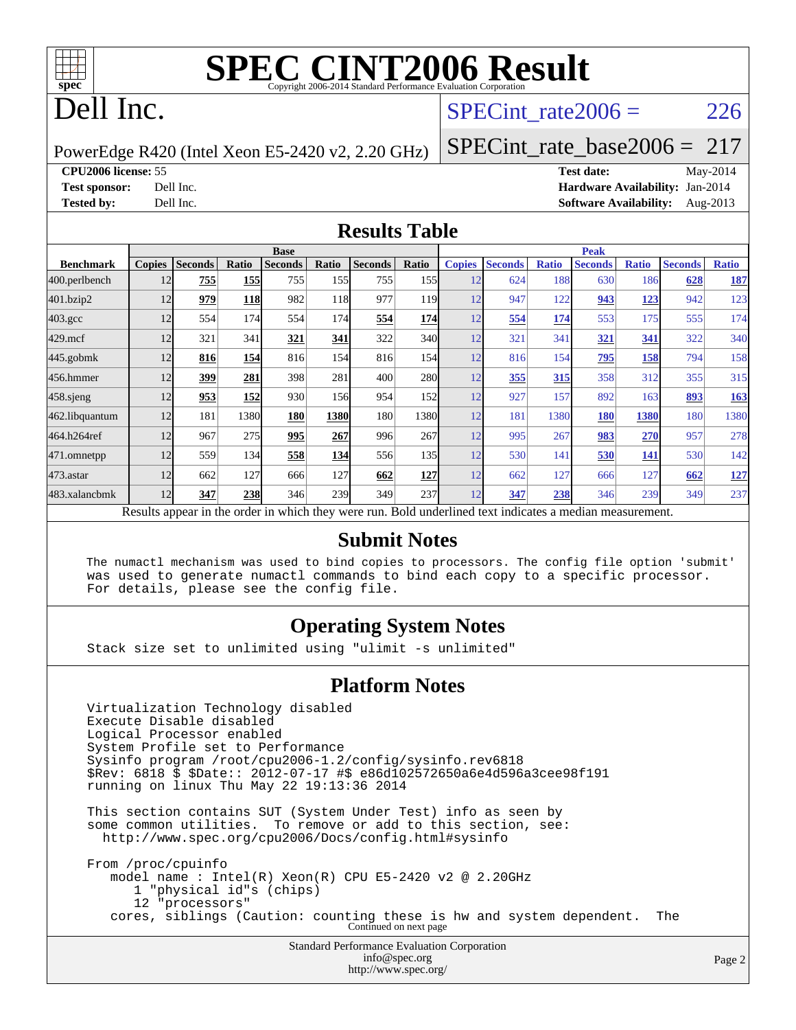

# **[SPEC CINT2006 Result](http://www.spec.org/auto/cpu2006/Docs/result-fields.html#SPECCINT2006Result)**

# Dell Inc.

#### SPECint rate $2006 = 226$

PowerEdge R420 (Intel Xeon E5-2420 v2, 2.20 GHz)

[SPECint\\_rate\\_base2006 =](http://www.spec.org/auto/cpu2006/Docs/result-fields.html#SPECintratebase2006) 217

**[CPU2006 license:](http://www.spec.org/auto/cpu2006/Docs/result-fields.html#CPU2006license)** 55 **[Test date:](http://www.spec.org/auto/cpu2006/Docs/result-fields.html#Testdate)** May-2014 **[Test sponsor:](http://www.spec.org/auto/cpu2006/Docs/result-fields.html#Testsponsor)** Dell Inc. **[Hardware Availability:](http://www.spec.org/auto/cpu2006/Docs/result-fields.html#HardwareAvailability)** Jan-2014 **[Tested by:](http://www.spec.org/auto/cpu2006/Docs/result-fields.html#Testedby)** Dell Inc. **[Software Availability:](http://www.spec.org/auto/cpu2006/Docs/result-fields.html#SoftwareAvailability)** Aug-2013

#### **[Results Table](http://www.spec.org/auto/cpu2006/Docs/result-fields.html#ResultsTable)**

|                                                                                                          | <b>Base</b>   |                |            |                |            |                | <b>Peak</b>      |               |                |              |                |              |                |              |
|----------------------------------------------------------------------------------------------------------|---------------|----------------|------------|----------------|------------|----------------|------------------|---------------|----------------|--------------|----------------|--------------|----------------|--------------|
| <b>Benchmark</b>                                                                                         | <b>Copies</b> | <b>Seconds</b> | Ratio      | <b>Seconds</b> | Ratio      | <b>Seconds</b> | Ratio            | <b>Copies</b> | <b>Seconds</b> | <b>Ratio</b> | <b>Seconds</b> | <b>Ratio</b> | <b>Seconds</b> | <b>Ratio</b> |
| 400.perlbench                                                                                            | 12            | 755            | 155        | 755            | 155        | 755            | 155 <sup> </sup> | 12            | 624            | 188          | 630            | 186          | 628            | <b>187</b>   |
| 401.bzip2                                                                                                | 12            | 979            | <b>118</b> | 982            | 118        | 977            | 119              | 12            | 947            | 122          | 943            | <u> 123</u>  | 942            | 123          |
| $403.\mathrm{gcc}$                                                                                       | 12            | 554            | 174        | 554            | 174I       | 554            | 174              | 12            | 554            | 174          | 553            | 175          | 555            | 174          |
| $429$ .mcf                                                                                               | 12            | 321            | 341        | 321            | 341        | 322            | 340l             | 12            | 321            | 341          | 321            | 341          | 322            | 340          |
| $445$ .gobmk                                                                                             | 12            | 816            | 154        | 816            | 154        | 816            | 154              | 12            | 816            | 154          | 795            | <u>158</u>   | 794            | 158          |
| 456.hmmer                                                                                                | 12            | 399            | 281        | 398            | 281        | 400            | 280              | 12            | 355            | 315          | 358            | 312          | 355            | 315          |
| $458$ .sjeng                                                                                             | 12            | 953            | 152        | 930            | 156        | 954            | 152              | 12            | 927            | 157          | 892            | 163          | 893            | <b>163</b>   |
| 462.libquantum                                                                                           | 12            | 181            | 1380       | 180            | 1380       | 180            | 1380l            | 12            | 181            | 1380         | 180            | 1380         | 180            | 1380         |
| 464.h264ref                                                                                              | 12            | 967            | 275        | 995            | 267        | 996            | 267              | 12            | 995            | 267          | 983            | 270          | 957            | 278          |
| 471.omnetpp                                                                                              | 12            | 559            | 134        | 558            | <b>134</b> | 556            | 135 <sup>1</sup> | 12            | 530            | 141          | 530            | 141          | 530            | 142          |
| 473.astar                                                                                                | 12            | 662            | 127        | 666            | 127        | 662            | 127              | 12            | 662            | 127          | 666            | 127          | 662            | <u>127</u>   |
| 483.xalancbmk                                                                                            | 12            | 347            | 238        | 346            | 239        | 349            | 237              | 12            | 347            | 238          | 346            | 239          | 349            | 237          |
| Results appear in the order in which they were run. Bold underlined text indicates a median measurement. |               |                |            |                |            |                |                  |               |                |              |                |              |                |              |

#### **[Submit Notes](http://www.spec.org/auto/cpu2006/Docs/result-fields.html#SubmitNotes)**

 The numactl mechanism was used to bind copies to processors. The config file option 'submit' was used to generate numactl commands to bind each copy to a specific processor. For details, please see the config file.

#### **[Operating System Notes](http://www.spec.org/auto/cpu2006/Docs/result-fields.html#OperatingSystemNotes)**

Stack size set to unlimited using "ulimit -s unlimited"

#### **[Platform Notes](http://www.spec.org/auto/cpu2006/Docs/result-fields.html#PlatformNotes)**

 Virtualization Technology disabled Execute Disable disabled Logical Processor enabled System Profile set to Performance Sysinfo program /root/cpu2006-1.2/config/sysinfo.rev6818 \$Rev: 6818 \$ \$Date:: 2012-07-17 #\$ e86d102572650a6e4d596a3cee98f191 running on linux Thu May 22 19:13:36 2014 This section contains SUT (System Under Test) info as seen by some common utilities. To remove or add to this section, see: <http://www.spec.org/cpu2006/Docs/config.html#sysinfo> From /proc/cpuinfo model name : Intel(R) Xeon(R) CPU E5-2420 v2 @ 2.20GHz 1 "physical id"s (chips) 12 "processors" cores, siblings (Caution: counting these is hw and system dependent. The Continued on next page

Standard Performance Evaluation Corporation [info@spec.org](mailto:info@spec.org) <http://www.spec.org/>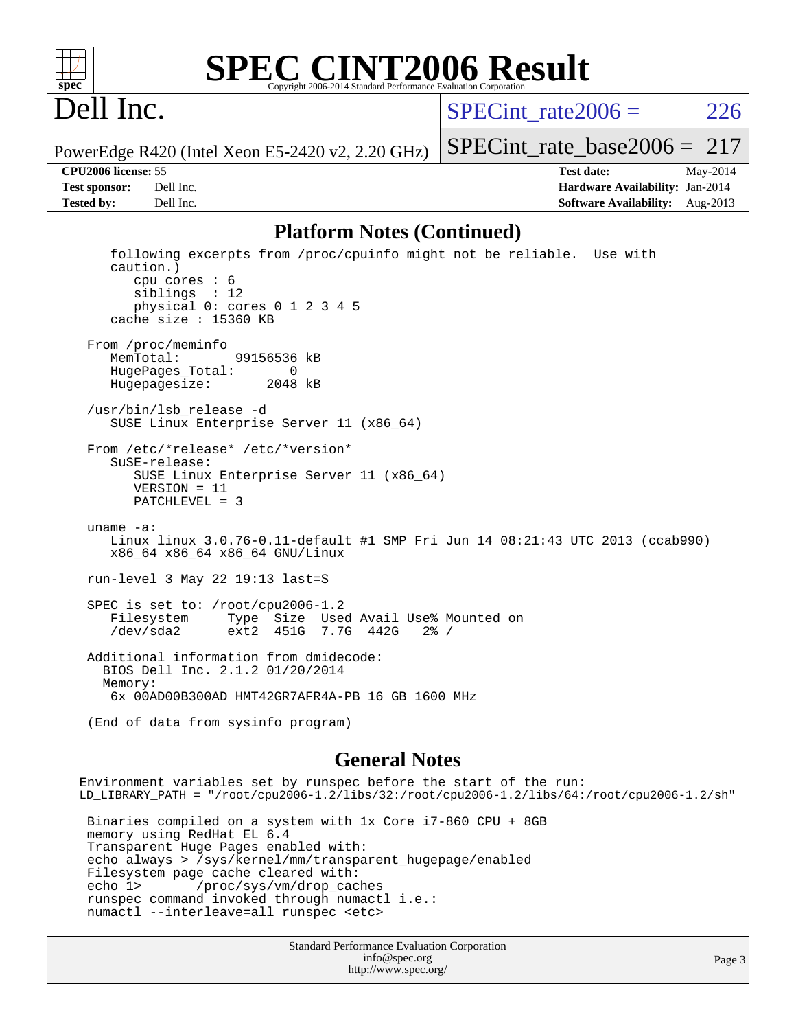

#### **[SPEC CINT2006 Result](http://www.spec.org/auto/cpu2006/Docs/result-fields.html#SPECCINT2006Result)** Copyright 2006-2014 Standard Performance Evaluation C

# Dell Inc.

SPECint rate $2006 = 226$ 

[SPECint\\_rate\\_base2006 =](http://www.spec.org/auto/cpu2006/Docs/result-fields.html#SPECintratebase2006) 217

PowerEdge R420 (Intel Xeon E5-2420 v2, 2.20 GHz)

**[Tested by:](http://www.spec.org/auto/cpu2006/Docs/result-fields.html#Testedby)** Dell Inc. **[Software Availability:](http://www.spec.org/auto/cpu2006/Docs/result-fields.html#SoftwareAvailability)** Aug-2013

**[CPU2006 license:](http://www.spec.org/auto/cpu2006/Docs/result-fields.html#CPU2006license)** 55 **[Test date:](http://www.spec.org/auto/cpu2006/Docs/result-fields.html#Testdate)** May-2014 **[Test sponsor:](http://www.spec.org/auto/cpu2006/Docs/result-fields.html#Testsponsor)** Dell Inc. **[Hardware Availability:](http://www.spec.org/auto/cpu2006/Docs/result-fields.html#HardwareAvailability)** Jan-2014

#### **[Platform Notes \(Continued\)](http://www.spec.org/auto/cpu2006/Docs/result-fields.html#PlatformNotes)**

 following excerpts from /proc/cpuinfo might not be reliable. Use with caution.) cpu cores : 6 siblings : 12 physical 0: cores 0 1 2 3 4 5 cache size : 15360 KB From /proc/meminfo MemTotal: 99156536 kB HugePages\_Total: 0<br>Hugepagesize: 2048 kB Hugepagesize: /usr/bin/lsb\_release -d SUSE Linux Enterprise Server 11 (x86\_64) From /etc/\*release\* /etc/\*version\* SuSE-release: SUSE Linux Enterprise Server 11 (x86\_64) VERSION = 11 PATCHLEVEL = 3 uname -a: Linux linux 3.0.76-0.11-default #1 SMP Fri Jun 14 08:21:43 UTC 2013 (ccab990) x86\_64 x86\_64 x86\_64 GNU/Linux run-level 3 May 22 19:13 last=S SPEC is set to: /root/cpu2006-1.2<br>Filesystem Type Size Use Filesystem Type Size Used Avail Use% Mounted on /dev/sda2 ext2 451G 7.7G 442G 2% / Additional information from dmidecode: BIOS Dell Inc. 2.1.2 01/20/2014 Memory: 6x 00AD00B300AD HMT42GR7AFR4A-PB 16 GB 1600 MHz (End of data from sysinfo program)

#### **[General Notes](http://www.spec.org/auto/cpu2006/Docs/result-fields.html#GeneralNotes)**

Standard Performance Evaluation Corporation Environment variables set by runspec before the start of the run: LD\_LIBRARY\_PATH = "/root/cpu2006-1.2/libs/32:/root/cpu2006-1.2/libs/64:/root/cpu2006-1.2/sh" Binaries compiled on a system with 1x Core i7-860 CPU + 8GB memory using RedHat EL 6.4 Transparent Huge Pages enabled with: echo always > /sys/kernel/mm/transparent\_hugepage/enabled Filesystem page cache cleared with: echo 1> /proc/sys/vm/drop\_caches runspec command invoked through numactl i.e.: numactl --interleave=all runspec <etc>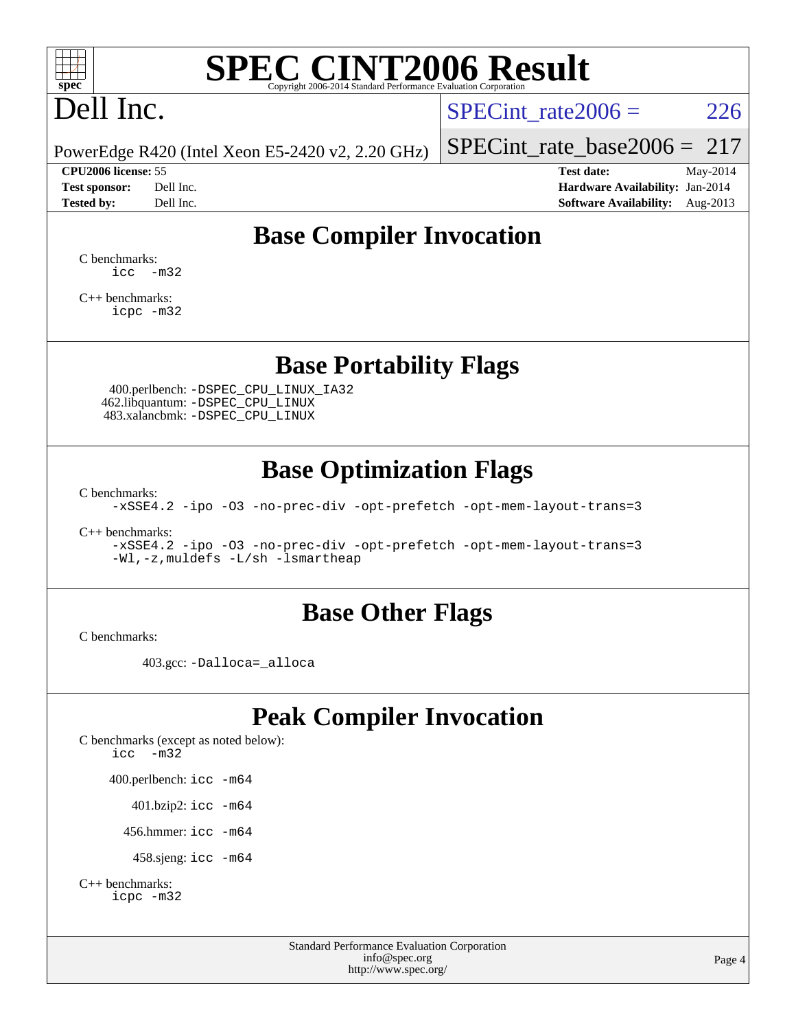

# **[SPEC CINT2006 Result](http://www.spec.org/auto/cpu2006/Docs/result-fields.html#SPECCINT2006Result)**

# Dell Inc.

SPECint rate $2006 = 226$ 

PowerEdge R420 (Intel Xeon E5-2420 v2, 2.20 GHz)

#### **[CPU2006 license:](http://www.spec.org/auto/cpu2006/Docs/result-fields.html#CPU2006license)** 55 **[Test date:](http://www.spec.org/auto/cpu2006/Docs/result-fields.html#Testdate)** May-2014

[SPECint\\_rate\\_base2006 =](http://www.spec.org/auto/cpu2006/Docs/result-fields.html#SPECintratebase2006) 217

**[Test sponsor:](http://www.spec.org/auto/cpu2006/Docs/result-fields.html#Testsponsor)** Dell Inc. **[Hardware Availability:](http://www.spec.org/auto/cpu2006/Docs/result-fields.html#HardwareAvailability)** Jan-2014 **[Tested by:](http://www.spec.org/auto/cpu2006/Docs/result-fields.html#Testedby)** Dell Inc. **[Software Availability:](http://www.spec.org/auto/cpu2006/Docs/result-fields.html#SoftwareAvailability)** Aug-2013

### **[Base Compiler Invocation](http://www.spec.org/auto/cpu2006/Docs/result-fields.html#BaseCompilerInvocation)**

[C benchmarks](http://www.spec.org/auto/cpu2006/Docs/result-fields.html#Cbenchmarks): [icc -m32](http://www.spec.org/cpu2006/results/res2014q3/cpu2006-20140616-29921.flags.html#user_CCbase_intel_icc_5ff4a39e364c98233615fdd38438c6f2)

[C++ benchmarks:](http://www.spec.org/auto/cpu2006/Docs/result-fields.html#CXXbenchmarks) [icpc -m32](http://www.spec.org/cpu2006/results/res2014q3/cpu2006-20140616-29921.flags.html#user_CXXbase_intel_icpc_4e5a5ef1a53fd332b3c49e69c3330699)

#### **[Base Portability Flags](http://www.spec.org/auto/cpu2006/Docs/result-fields.html#BasePortabilityFlags)**

 400.perlbench: [-DSPEC\\_CPU\\_LINUX\\_IA32](http://www.spec.org/cpu2006/results/res2014q3/cpu2006-20140616-29921.flags.html#b400.perlbench_baseCPORTABILITY_DSPEC_CPU_LINUX_IA32) 462.libquantum: [-DSPEC\\_CPU\\_LINUX](http://www.spec.org/cpu2006/results/res2014q3/cpu2006-20140616-29921.flags.html#b462.libquantum_baseCPORTABILITY_DSPEC_CPU_LINUX) 483.xalancbmk: [-DSPEC\\_CPU\\_LINUX](http://www.spec.org/cpu2006/results/res2014q3/cpu2006-20140616-29921.flags.html#b483.xalancbmk_baseCXXPORTABILITY_DSPEC_CPU_LINUX)

### **[Base Optimization Flags](http://www.spec.org/auto/cpu2006/Docs/result-fields.html#BaseOptimizationFlags)**

[C benchmarks](http://www.spec.org/auto/cpu2006/Docs/result-fields.html#Cbenchmarks):

[-xSSE4.2](http://www.spec.org/cpu2006/results/res2014q3/cpu2006-20140616-29921.flags.html#user_CCbase_f-xSSE42_f91528193cf0b216347adb8b939d4107) [-ipo](http://www.spec.org/cpu2006/results/res2014q3/cpu2006-20140616-29921.flags.html#user_CCbase_f-ipo) [-O3](http://www.spec.org/cpu2006/results/res2014q3/cpu2006-20140616-29921.flags.html#user_CCbase_f-O3) [-no-prec-div](http://www.spec.org/cpu2006/results/res2014q3/cpu2006-20140616-29921.flags.html#user_CCbase_f-no-prec-div) [-opt-prefetch](http://www.spec.org/cpu2006/results/res2014q3/cpu2006-20140616-29921.flags.html#user_CCbase_f-opt-prefetch) [-opt-mem-layout-trans=3](http://www.spec.org/cpu2006/results/res2014q3/cpu2006-20140616-29921.flags.html#user_CCbase_f-opt-mem-layout-trans_a7b82ad4bd7abf52556d4961a2ae94d5)

[C++ benchmarks:](http://www.spec.org/auto/cpu2006/Docs/result-fields.html#CXXbenchmarks)

[-xSSE4.2](http://www.spec.org/cpu2006/results/res2014q3/cpu2006-20140616-29921.flags.html#user_CXXbase_f-xSSE42_f91528193cf0b216347adb8b939d4107) [-ipo](http://www.spec.org/cpu2006/results/res2014q3/cpu2006-20140616-29921.flags.html#user_CXXbase_f-ipo) [-O3](http://www.spec.org/cpu2006/results/res2014q3/cpu2006-20140616-29921.flags.html#user_CXXbase_f-O3) [-no-prec-div](http://www.spec.org/cpu2006/results/res2014q3/cpu2006-20140616-29921.flags.html#user_CXXbase_f-no-prec-div) [-opt-prefetch](http://www.spec.org/cpu2006/results/res2014q3/cpu2006-20140616-29921.flags.html#user_CXXbase_f-opt-prefetch) [-opt-mem-layout-trans=3](http://www.spec.org/cpu2006/results/res2014q3/cpu2006-20140616-29921.flags.html#user_CXXbase_f-opt-mem-layout-trans_a7b82ad4bd7abf52556d4961a2ae94d5) [-Wl,-z,muldefs](http://www.spec.org/cpu2006/results/res2014q3/cpu2006-20140616-29921.flags.html#user_CXXbase_link_force_multiple1_74079c344b956b9658436fd1b6dd3a8a) [-L/sh -lsmartheap](http://www.spec.org/cpu2006/results/res2014q3/cpu2006-20140616-29921.flags.html#user_CXXbase_SmartHeap_32f6c82aa1ed9c52345d30cf6e4a0499)

#### **[Base Other Flags](http://www.spec.org/auto/cpu2006/Docs/result-fields.html#BaseOtherFlags)**

[C benchmarks](http://www.spec.org/auto/cpu2006/Docs/result-fields.html#Cbenchmarks):

403.gcc: [-Dalloca=\\_alloca](http://www.spec.org/cpu2006/results/res2014q3/cpu2006-20140616-29921.flags.html#b403.gcc_baseEXTRA_CFLAGS_Dalloca_be3056838c12de2578596ca5467af7f3)

### **[Peak Compiler Invocation](http://www.spec.org/auto/cpu2006/Docs/result-fields.html#PeakCompilerInvocation)**

[C benchmarks \(except as noted below\)](http://www.spec.org/auto/cpu2006/Docs/result-fields.html#Cbenchmarksexceptasnotedbelow): [icc -m32](http://www.spec.org/cpu2006/results/res2014q3/cpu2006-20140616-29921.flags.html#user_CCpeak_intel_icc_5ff4a39e364c98233615fdd38438c6f2) 400.perlbench: [icc -m64](http://www.spec.org/cpu2006/results/res2014q3/cpu2006-20140616-29921.flags.html#user_peakCCLD400_perlbench_intel_icc_64bit_bda6cc9af1fdbb0edc3795bac97ada53) 401.bzip2: [icc -m64](http://www.spec.org/cpu2006/results/res2014q3/cpu2006-20140616-29921.flags.html#user_peakCCLD401_bzip2_intel_icc_64bit_bda6cc9af1fdbb0edc3795bac97ada53)

456.hmmer: [icc -m64](http://www.spec.org/cpu2006/results/res2014q3/cpu2006-20140616-29921.flags.html#user_peakCCLD456_hmmer_intel_icc_64bit_bda6cc9af1fdbb0edc3795bac97ada53)

458.sjeng: [icc -m64](http://www.spec.org/cpu2006/results/res2014q3/cpu2006-20140616-29921.flags.html#user_peakCCLD458_sjeng_intel_icc_64bit_bda6cc9af1fdbb0edc3795bac97ada53)

```
C++ benchmarks: 
icpc -m32
```
Standard Performance Evaluation Corporation [info@spec.org](mailto:info@spec.org) <http://www.spec.org/>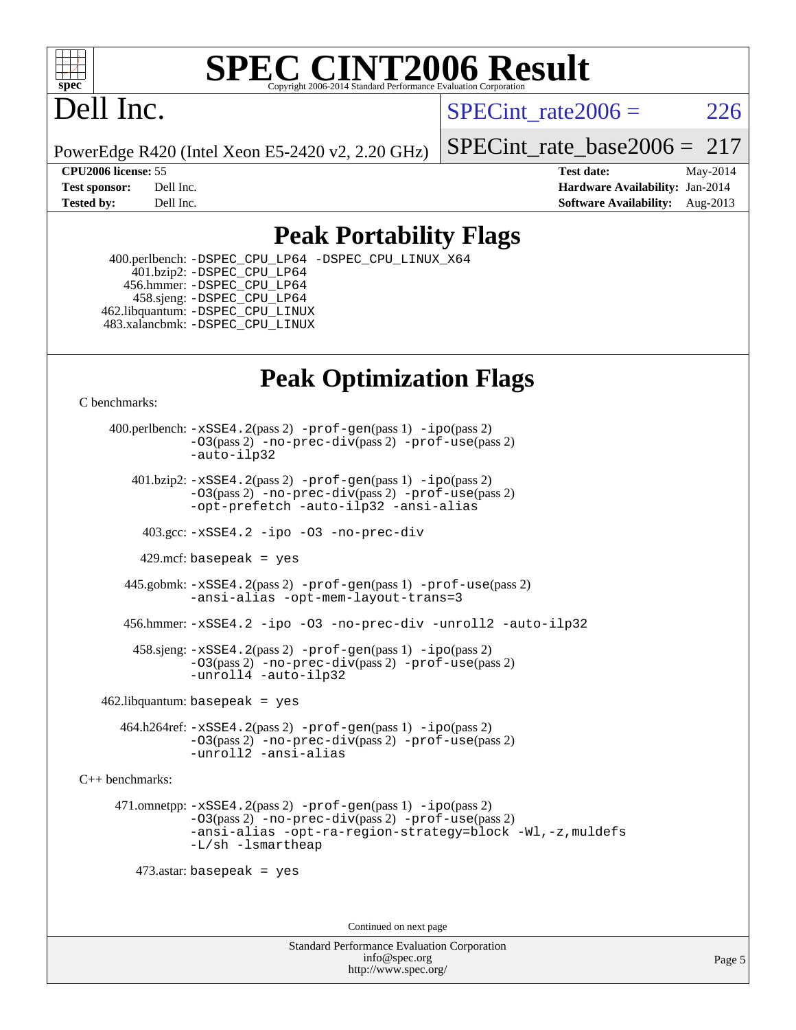

#### **[SPEC CINT2006 Result](http://www.spec.org/auto/cpu2006/Docs/result-fields.html#SPECCINT2006Result)** Copyright 2006-2014 Standard Performance Evaluation C

# Dell Inc.

SPECint rate $2006 = 226$ 

PowerEdge R420 (Intel Xeon E5-2420 v2, 2.20 GHz)

[SPECint\\_rate\\_base2006 =](http://www.spec.org/auto/cpu2006/Docs/result-fields.html#SPECintratebase2006) 217

**[CPU2006 license:](http://www.spec.org/auto/cpu2006/Docs/result-fields.html#CPU2006license)** 55 **[Test date:](http://www.spec.org/auto/cpu2006/Docs/result-fields.html#Testdate)** May-2014 **[Test sponsor:](http://www.spec.org/auto/cpu2006/Docs/result-fields.html#Testsponsor)** Dell Inc. **[Hardware Availability:](http://www.spec.org/auto/cpu2006/Docs/result-fields.html#HardwareAvailability)** Jan-2014 **[Tested by:](http://www.spec.org/auto/cpu2006/Docs/result-fields.html#Testedby)** Dell Inc. **[Software Availability:](http://www.spec.org/auto/cpu2006/Docs/result-fields.html#SoftwareAvailability)** Aug-2013

### **[Peak Portability Flags](http://www.spec.org/auto/cpu2006/Docs/result-fields.html#PeakPortabilityFlags)**

 400.perlbench: [-DSPEC\\_CPU\\_LP64](http://www.spec.org/cpu2006/results/res2014q3/cpu2006-20140616-29921.flags.html#b400.perlbench_peakCPORTABILITY_DSPEC_CPU_LP64) [-DSPEC\\_CPU\\_LINUX\\_X64](http://www.spec.org/cpu2006/results/res2014q3/cpu2006-20140616-29921.flags.html#b400.perlbench_peakCPORTABILITY_DSPEC_CPU_LINUX_X64) 401.bzip2: [-DSPEC\\_CPU\\_LP64](http://www.spec.org/cpu2006/results/res2014q3/cpu2006-20140616-29921.flags.html#suite_peakCPORTABILITY401_bzip2_DSPEC_CPU_LP64) 456.hmmer: [-DSPEC\\_CPU\\_LP64](http://www.spec.org/cpu2006/results/res2014q3/cpu2006-20140616-29921.flags.html#suite_peakCPORTABILITY456_hmmer_DSPEC_CPU_LP64) 458.sjeng: [-DSPEC\\_CPU\\_LP64](http://www.spec.org/cpu2006/results/res2014q3/cpu2006-20140616-29921.flags.html#suite_peakCPORTABILITY458_sjeng_DSPEC_CPU_LP64) 462.libquantum: [-DSPEC\\_CPU\\_LINUX](http://www.spec.org/cpu2006/results/res2014q3/cpu2006-20140616-29921.flags.html#b462.libquantum_peakCPORTABILITY_DSPEC_CPU_LINUX) 483.xalancbmk: [-DSPEC\\_CPU\\_LINUX](http://www.spec.org/cpu2006/results/res2014q3/cpu2006-20140616-29921.flags.html#b483.xalancbmk_peakCXXPORTABILITY_DSPEC_CPU_LINUX)

### **[Peak Optimization Flags](http://www.spec.org/auto/cpu2006/Docs/result-fields.html#PeakOptimizationFlags)**

[C benchmarks](http://www.spec.org/auto/cpu2006/Docs/result-fields.html#Cbenchmarks):

 400.perlbench: [-xSSE4.2](http://www.spec.org/cpu2006/results/res2014q3/cpu2006-20140616-29921.flags.html#user_peakPASS2_CFLAGSPASS2_LDCFLAGS400_perlbench_f-xSSE42_f91528193cf0b216347adb8b939d4107)(pass 2) [-prof-gen](http://www.spec.org/cpu2006/results/res2014q3/cpu2006-20140616-29921.flags.html#user_peakPASS1_CFLAGSPASS1_LDCFLAGS400_perlbench_prof_gen_e43856698f6ca7b7e442dfd80e94a8fc)(pass 1) [-ipo](http://www.spec.org/cpu2006/results/res2014q3/cpu2006-20140616-29921.flags.html#user_peakPASS2_CFLAGSPASS2_LDCFLAGS400_perlbench_f-ipo)(pass 2) [-O3](http://www.spec.org/cpu2006/results/res2014q3/cpu2006-20140616-29921.flags.html#user_peakPASS2_CFLAGSPASS2_LDCFLAGS400_perlbench_f-O3)(pass 2) [-no-prec-div](http://www.spec.org/cpu2006/results/res2014q3/cpu2006-20140616-29921.flags.html#user_peakPASS2_CFLAGSPASS2_LDCFLAGS400_perlbench_f-no-prec-div)(pass 2) [-prof-use](http://www.spec.org/cpu2006/results/res2014q3/cpu2006-20140616-29921.flags.html#user_peakPASS2_CFLAGSPASS2_LDCFLAGS400_perlbench_prof_use_bccf7792157ff70d64e32fe3e1250b55)(pass 2) [-auto-ilp32](http://www.spec.org/cpu2006/results/res2014q3/cpu2006-20140616-29921.flags.html#user_peakCOPTIMIZE400_perlbench_f-auto-ilp32)  $401.bzip2: -xSSE4.2(pass 2) -prof-qen(pass 1) -ipo(pass 2)$  $401.bzip2: -xSSE4.2(pass 2) -prof-qen(pass 1) -ipo(pass 2)$  $401.bzip2: -xSSE4.2(pass 2) -prof-qen(pass 1) -ipo(pass 2)$  $401.bzip2: -xSSE4.2(pass 2) -prof-qen(pass 1) -ipo(pass 2)$  $401.bzip2: -xSSE4.2(pass 2) -prof-qen(pass 1) -ipo(pass 2)$ [-O3](http://www.spec.org/cpu2006/results/res2014q3/cpu2006-20140616-29921.flags.html#user_peakPASS2_CFLAGSPASS2_LDCFLAGS401_bzip2_f-O3)(pass 2) [-no-prec-div](http://www.spec.org/cpu2006/results/res2014q3/cpu2006-20140616-29921.flags.html#user_peakPASS2_CFLAGSPASS2_LDCFLAGS401_bzip2_f-no-prec-div)(pass 2) [-prof-use](http://www.spec.org/cpu2006/results/res2014q3/cpu2006-20140616-29921.flags.html#user_peakPASS2_CFLAGSPASS2_LDCFLAGS401_bzip2_prof_use_bccf7792157ff70d64e32fe3e1250b55)(pass 2) [-opt-prefetch](http://www.spec.org/cpu2006/results/res2014q3/cpu2006-20140616-29921.flags.html#user_peakCOPTIMIZE401_bzip2_f-opt-prefetch) [-auto-ilp32](http://www.spec.org/cpu2006/results/res2014q3/cpu2006-20140616-29921.flags.html#user_peakCOPTIMIZE401_bzip2_f-auto-ilp32) [-ansi-alias](http://www.spec.org/cpu2006/results/res2014q3/cpu2006-20140616-29921.flags.html#user_peakCOPTIMIZE401_bzip2_f-ansi-alias) 403.gcc: [-xSSE4.2](http://www.spec.org/cpu2006/results/res2014q3/cpu2006-20140616-29921.flags.html#user_peakCOPTIMIZE403_gcc_f-xSSE42_f91528193cf0b216347adb8b939d4107) [-ipo](http://www.spec.org/cpu2006/results/res2014q3/cpu2006-20140616-29921.flags.html#user_peakCOPTIMIZE403_gcc_f-ipo) [-O3](http://www.spec.org/cpu2006/results/res2014q3/cpu2006-20140616-29921.flags.html#user_peakCOPTIMIZE403_gcc_f-O3) [-no-prec-div](http://www.spec.org/cpu2006/results/res2014q3/cpu2006-20140616-29921.flags.html#user_peakCOPTIMIZE403_gcc_f-no-prec-div) 429.mcf: basepeak = yes 445.gobmk: [-xSSE4.2](http://www.spec.org/cpu2006/results/res2014q3/cpu2006-20140616-29921.flags.html#user_peakPASS2_CFLAGSPASS2_LDCFLAGS445_gobmk_f-xSSE42_f91528193cf0b216347adb8b939d4107)(pass 2) [-prof-gen](http://www.spec.org/cpu2006/results/res2014q3/cpu2006-20140616-29921.flags.html#user_peakPASS1_CFLAGSPASS1_LDCFLAGS445_gobmk_prof_gen_e43856698f6ca7b7e442dfd80e94a8fc)(pass 1) [-prof-use](http://www.spec.org/cpu2006/results/res2014q3/cpu2006-20140616-29921.flags.html#user_peakPASS2_CFLAGSPASS2_LDCFLAGS445_gobmk_prof_use_bccf7792157ff70d64e32fe3e1250b55)(pass 2) [-ansi-alias](http://www.spec.org/cpu2006/results/res2014q3/cpu2006-20140616-29921.flags.html#user_peakCOPTIMIZE445_gobmk_f-ansi-alias) [-opt-mem-layout-trans=3](http://www.spec.org/cpu2006/results/res2014q3/cpu2006-20140616-29921.flags.html#user_peakCOPTIMIZE445_gobmk_f-opt-mem-layout-trans_a7b82ad4bd7abf52556d4961a2ae94d5) 456.hmmer: [-xSSE4.2](http://www.spec.org/cpu2006/results/res2014q3/cpu2006-20140616-29921.flags.html#user_peakCOPTIMIZE456_hmmer_f-xSSE42_f91528193cf0b216347adb8b939d4107) [-ipo](http://www.spec.org/cpu2006/results/res2014q3/cpu2006-20140616-29921.flags.html#user_peakCOPTIMIZE456_hmmer_f-ipo) [-O3](http://www.spec.org/cpu2006/results/res2014q3/cpu2006-20140616-29921.flags.html#user_peakCOPTIMIZE456_hmmer_f-O3) [-no-prec-div](http://www.spec.org/cpu2006/results/res2014q3/cpu2006-20140616-29921.flags.html#user_peakCOPTIMIZE456_hmmer_f-no-prec-div) [-unroll2](http://www.spec.org/cpu2006/results/res2014q3/cpu2006-20140616-29921.flags.html#user_peakCOPTIMIZE456_hmmer_f-unroll_784dae83bebfb236979b41d2422d7ec2) [-auto-ilp32](http://www.spec.org/cpu2006/results/res2014q3/cpu2006-20140616-29921.flags.html#user_peakCOPTIMIZE456_hmmer_f-auto-ilp32) 458.sjeng: [-xSSE4.2](http://www.spec.org/cpu2006/results/res2014q3/cpu2006-20140616-29921.flags.html#user_peakPASS2_CFLAGSPASS2_LDCFLAGS458_sjeng_f-xSSE42_f91528193cf0b216347adb8b939d4107)(pass 2) [-prof-gen](http://www.spec.org/cpu2006/results/res2014q3/cpu2006-20140616-29921.flags.html#user_peakPASS1_CFLAGSPASS1_LDCFLAGS458_sjeng_prof_gen_e43856698f6ca7b7e442dfd80e94a8fc)(pass 1) [-ipo](http://www.spec.org/cpu2006/results/res2014q3/cpu2006-20140616-29921.flags.html#user_peakPASS2_CFLAGSPASS2_LDCFLAGS458_sjeng_f-ipo)(pass 2) [-O3](http://www.spec.org/cpu2006/results/res2014q3/cpu2006-20140616-29921.flags.html#user_peakPASS2_CFLAGSPASS2_LDCFLAGS458_sjeng_f-O3)(pass 2) [-no-prec-div](http://www.spec.org/cpu2006/results/res2014q3/cpu2006-20140616-29921.flags.html#user_peakPASS2_CFLAGSPASS2_LDCFLAGS458_sjeng_f-no-prec-div)(pass 2) [-prof-use](http://www.spec.org/cpu2006/results/res2014q3/cpu2006-20140616-29921.flags.html#user_peakPASS2_CFLAGSPASS2_LDCFLAGS458_sjeng_prof_use_bccf7792157ff70d64e32fe3e1250b55)(pass 2) [-unroll4](http://www.spec.org/cpu2006/results/res2014q3/cpu2006-20140616-29921.flags.html#user_peakCOPTIMIZE458_sjeng_f-unroll_4e5e4ed65b7fd20bdcd365bec371b81f) [-auto-ilp32](http://www.spec.org/cpu2006/results/res2014q3/cpu2006-20140616-29921.flags.html#user_peakCOPTIMIZE458_sjeng_f-auto-ilp32)  $462$ .libquantum: basepeak = yes 464.h264ref: [-xSSE4.2](http://www.spec.org/cpu2006/results/res2014q3/cpu2006-20140616-29921.flags.html#user_peakPASS2_CFLAGSPASS2_LDCFLAGS464_h264ref_f-xSSE42_f91528193cf0b216347adb8b939d4107)(pass 2) [-prof-gen](http://www.spec.org/cpu2006/results/res2014q3/cpu2006-20140616-29921.flags.html#user_peakPASS1_CFLAGSPASS1_LDCFLAGS464_h264ref_prof_gen_e43856698f6ca7b7e442dfd80e94a8fc)(pass 1) [-ipo](http://www.spec.org/cpu2006/results/res2014q3/cpu2006-20140616-29921.flags.html#user_peakPASS2_CFLAGSPASS2_LDCFLAGS464_h264ref_f-ipo)(pass 2) [-O3](http://www.spec.org/cpu2006/results/res2014q3/cpu2006-20140616-29921.flags.html#user_peakPASS2_CFLAGSPASS2_LDCFLAGS464_h264ref_f-O3)(pass 2) [-no-prec-div](http://www.spec.org/cpu2006/results/res2014q3/cpu2006-20140616-29921.flags.html#user_peakPASS2_CFLAGSPASS2_LDCFLAGS464_h264ref_f-no-prec-div)(pass 2) [-prof-use](http://www.spec.org/cpu2006/results/res2014q3/cpu2006-20140616-29921.flags.html#user_peakPASS2_CFLAGSPASS2_LDCFLAGS464_h264ref_prof_use_bccf7792157ff70d64e32fe3e1250b55)(pass 2) [-unroll2](http://www.spec.org/cpu2006/results/res2014q3/cpu2006-20140616-29921.flags.html#user_peakCOPTIMIZE464_h264ref_f-unroll_784dae83bebfb236979b41d2422d7ec2) [-ansi-alias](http://www.spec.org/cpu2006/results/res2014q3/cpu2006-20140616-29921.flags.html#user_peakCOPTIMIZE464_h264ref_f-ansi-alias) [C++ benchmarks:](http://www.spec.org/auto/cpu2006/Docs/result-fields.html#CXXbenchmarks) 471.omnetpp: [-xSSE4.2](http://www.spec.org/cpu2006/results/res2014q3/cpu2006-20140616-29921.flags.html#user_peakPASS2_CXXFLAGSPASS2_LDCXXFLAGS471_omnetpp_f-xSSE42_f91528193cf0b216347adb8b939d4107)(pass 2) [-prof-gen](http://www.spec.org/cpu2006/results/res2014q3/cpu2006-20140616-29921.flags.html#user_peakPASS1_CXXFLAGSPASS1_LDCXXFLAGS471_omnetpp_prof_gen_e43856698f6ca7b7e442dfd80e94a8fc)(pass 1) [-ipo](http://www.spec.org/cpu2006/results/res2014q3/cpu2006-20140616-29921.flags.html#user_peakPASS2_CXXFLAGSPASS2_LDCXXFLAGS471_omnetpp_f-ipo)(pass 2) [-O3](http://www.spec.org/cpu2006/results/res2014q3/cpu2006-20140616-29921.flags.html#user_peakPASS2_CXXFLAGSPASS2_LDCXXFLAGS471_omnetpp_f-O3)(pass 2) [-no-prec-div](http://www.spec.org/cpu2006/results/res2014q3/cpu2006-20140616-29921.flags.html#user_peakPASS2_CXXFLAGSPASS2_LDCXXFLAGS471_omnetpp_f-no-prec-div)(pass 2) [-prof-use](http://www.spec.org/cpu2006/results/res2014q3/cpu2006-20140616-29921.flags.html#user_peakPASS2_CXXFLAGSPASS2_LDCXXFLAGS471_omnetpp_prof_use_bccf7792157ff70d64e32fe3e1250b55)(pass 2) [-ansi-alias](http://www.spec.org/cpu2006/results/res2014q3/cpu2006-20140616-29921.flags.html#user_peakCXXOPTIMIZE471_omnetpp_f-ansi-alias) [-opt-ra-region-strategy=block](http://www.spec.org/cpu2006/results/res2014q3/cpu2006-20140616-29921.flags.html#user_peakCXXOPTIMIZE471_omnetpp_f-opt-ra-region-strategy_a0a37c372d03933b2a18d4af463c1f69) [-Wl,-z,muldefs](http://www.spec.org/cpu2006/results/res2014q3/cpu2006-20140616-29921.flags.html#user_peakEXTRA_LDFLAGS471_omnetpp_link_force_multiple1_74079c344b956b9658436fd1b6dd3a8a) [-L/sh -lsmartheap](http://www.spec.org/cpu2006/results/res2014q3/cpu2006-20140616-29921.flags.html#user_peakEXTRA_LIBS471_omnetpp_SmartHeap_32f6c82aa1ed9c52345d30cf6e4a0499) 473.astar: basepeak = yes Continued on next page